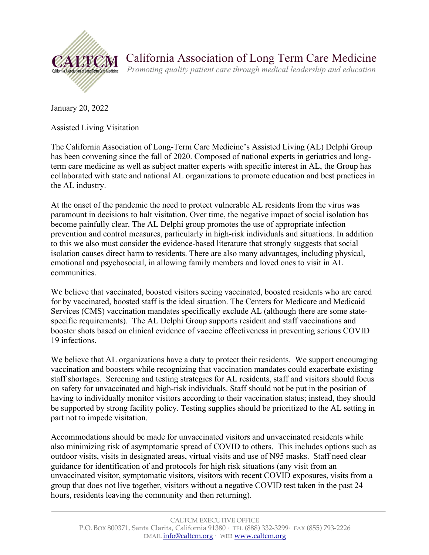

January 20, 2022

Assisted Living Visitation

The California Association of Long-Term Care Medicine's Assisted Living (AL) Delphi Group has been convening since the fall of 2020. Composed of national experts in geriatrics and longterm care medicine as well as subject matter experts with specific interest in AL, the Group has collaborated with state and national AL organizations to promote education and best practices in the AL industry.

At the onset of the pandemic the need to protect vulnerable AL residents from the virus was paramount in decisions to halt visitation. Over time, the negative impact of social isolation has become painfully clear. The AL Delphi group promotes the use of appropriate infection prevention and control measures, particularly in high-risk individuals and situations. In addition to this we also must consider the evidence-based literature that strongly suggests that social isolation causes direct harm to residents. There are also many advantages, including physical, emotional and psychosocial, in allowing family members and loved ones to visit in AL communities.

We believe that vaccinated, boosted visitors seeing vaccinated, boosted residents who are cared for by vaccinated, boosted staff is the ideal situation. The Centers for Medicare and Medicaid Services (CMS) vaccination mandates specifically exclude AL (although there are some statespecific requirements). The AL Delphi Group supports resident and staff vaccinations and booster shots based on clinical evidence of vaccine effectiveness in preventing serious COVID 19 infections.

We believe that AL organizations have a duty to protect their residents. We support encouraging vaccination and boosters while recognizing that vaccination mandates could exacerbate existing staff shortages. Screening and testing strategies for AL residents, staff and visitors should focus on safety for unvaccinated and high-risk individuals. Staff should not be put in the position of having to individually monitor visitors according to their vaccination status; instead, they should be supported by strong facility policy. Testing supplies should be prioritized to the AL setting in part not to impede visitation.

Accommodations should be made for unvaccinated visitors and unvaccinated residents while also minimizing risk of asymptomatic spread of COVID to others. This includes options such as outdoor visits, visits in designated areas, virtual visits and use of N95 masks. Staff need clear guidance for identification of and protocols for high risk situations (any visit from an unvaccinated visitor, symptomatic visitors, visitors with recent COVID exposures, visits from a group that does not live together, visitors without a negative COVID test taken in the past 24 hours, residents leaving the community and then returning).